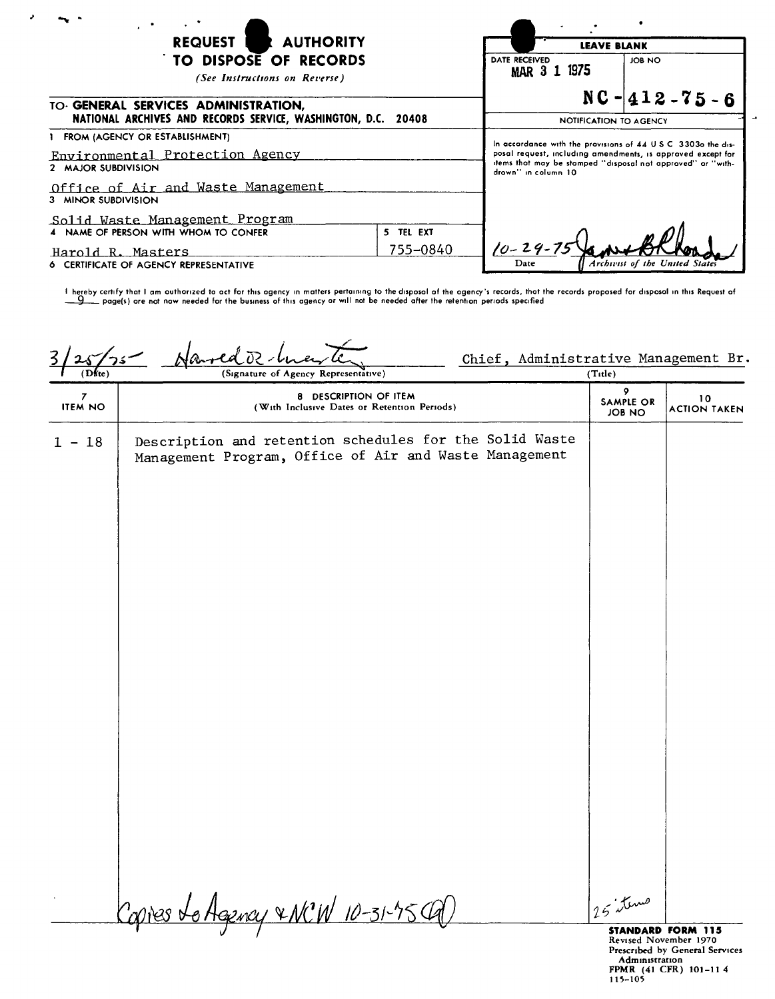| REQUEST I<br><b>AUTHORITY</b><br>TO DISPOSE OF RECORDS<br>(See Instructions on Reverse)        |                        | <b>LEAVE BLANK</b>                                                                                                                                                                                                 |                                |
|------------------------------------------------------------------------------------------------|------------------------|--------------------------------------------------------------------------------------------------------------------------------------------------------------------------------------------------------------------|--------------------------------|
|                                                                                                |                        | DATE RECEIVED<br>MAR 3 1 1975                                                                                                                                                                                      | JOB NO                         |
| TO GENERAL SERVICES ADMINISTRATION,<br>NATIONAL ARCHIVES AND RECORDS SERVICE, WASHINGTON, D.C. | NOTIFICATION TO AGENCY | $NC - 412 - 75 - 6$                                                                                                                                                                                                |                                |
| 1 FROM (AGENCY OR ESTABLISHMENT)<br>Environmental Protection Agency<br>2 MAJOR SUBDIVISION     |                        | In accordance with the provisions of 44 U.S.C. 3303o the dis-<br>posal request, including amendments, is approved except for<br>items that may be stamped "disposal not approved" or "with-<br>drown" in column 10 |                                |
| Office of Air and Waste Management<br>3 MINOR SUBDIVISION                                      |                        |                                                                                                                                                                                                                    |                                |
| <u>Solid Waste Management Program</u><br>4 NAME OF PERSON WITH WHOM TO CONFER<br>5 TEL EXT     |                        |                                                                                                                                                                                                                    |                                |
| 755-0840<br>Harold R. Masters<br><b>6 CERTIFICATE OF AGENCY REPRESENTATIVE</b>                 |                        | $10 - 29 - 75$<br>Date                                                                                                                                                                                             | Archivist of the United States |

 $\bar{\mathbf{z}}$ 

! hereby certify that I am outhorized to act for this agency in matters pertaining to the disposal of the agency's records, thot the records proposed for disposal in this Request of<br>\_\_\_\_\_\_\_ page(s) ore not now needed for t

| (Dite)                             | $f$ arred $\overline{v}$<br>Chief, Administrative Management Br.<br>つる<br>(Signature of Agency Representative)    | (Title)                         |                           |
|------------------------------------|-------------------------------------------------------------------------------------------------------------------|---------------------------------|---------------------------|
| $\boldsymbol{7}$<br><b>ITEM NO</b> | 8 DESCRIPTION OF ITEM<br>(With Inclusive Dates or Retention Periods)                                              | 9<br>SAMPLE OR<br><b>JOB NO</b> | 10<br><b>ACTION TAKEN</b> |
| $1 - 18$                           | Description and retention schedules for the Solid Waste<br>Management Program, Office of Air and Waste Management |                                 |                           |
|                                    | <u>o Agency &amp; NCW 10-31-754</u><br>Contes X                                                                   | 25 items                        |                           |

**STANDARD FORM 115**<br>Revised November 1970<br>Prescribed by General Service<br>Administration<br>FPMR (41 CFR) 101-11 4<br>115-105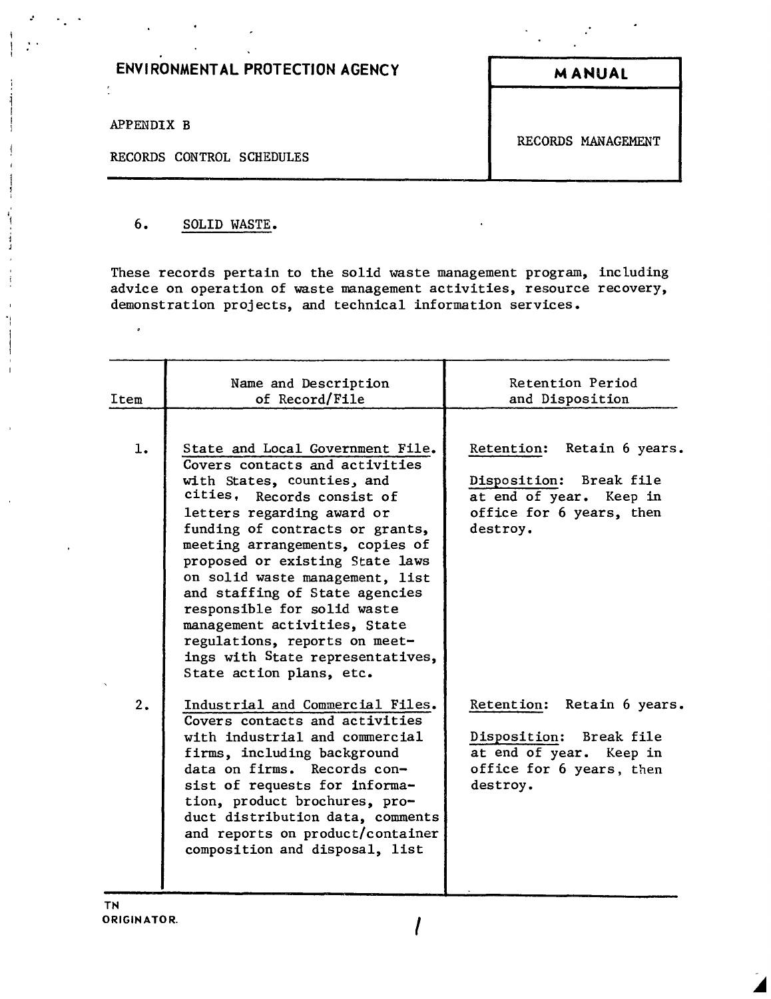## **ENVIRONMENTAL PROTECTION AGENCY MANUAL**

APPENDIX B

 $\tilde{\boldsymbol{\theta}}$ 

ł,

.'

" ,

 $\overline{\phantom{a}}$ 

 $\frac{1}{4}$ j  $\bar{z}$  $\frac{1}{2}$ 

RECORDS CONTROL SCHEDULES

RECORDS MANAGEMENT

## 6. SOLID WASTE.

These records pertain to the solid waste management program, including advice on operation of waste management activities, resource recovery, demonstration projects, and technical information services.

| Item | Name and Description<br>of Record/File                                                                                                                                                                                                                                                                                                                                                                                                                                                                     | Retention Period<br>and Disposition                                                                                      |
|------|------------------------------------------------------------------------------------------------------------------------------------------------------------------------------------------------------------------------------------------------------------------------------------------------------------------------------------------------------------------------------------------------------------------------------------------------------------------------------------------------------------|--------------------------------------------------------------------------------------------------------------------------|
| 1.   | State and Local Government File.<br>Covers contacts and activities<br>with States, counties, and<br>cities, Records consist of<br>letters regarding award or<br>funding of contracts or grants,<br>meeting arrangements, copies of<br>proposed or existing State laws<br>on solid waste management, list<br>and staffing of State agencies<br>responsible for solid waste<br>management activities, State<br>regulations, reports on meet-<br>ings with State representatives,<br>State action plans, etc. | Retention: Retain 6 years.<br>Disposition: Break file<br>at end of year. Keep in<br>office for 6 years, then<br>destroy. |
| 2.   | Industrial and Commercial Files.<br>Covers contacts and activities<br>with industrial and commercial<br>firms, including background<br>data on firms. Records con-<br>sist of requests for informa-<br>tion, product brochures, pro-<br>duct distribution data, comments<br>and reports on product/container<br>composition and disposal, list                                                                                                                                                             | Retention: Retain 6 years.<br>Disposition: Break file<br>at end of year. Keep in<br>office for 6 years, then<br>destroy. |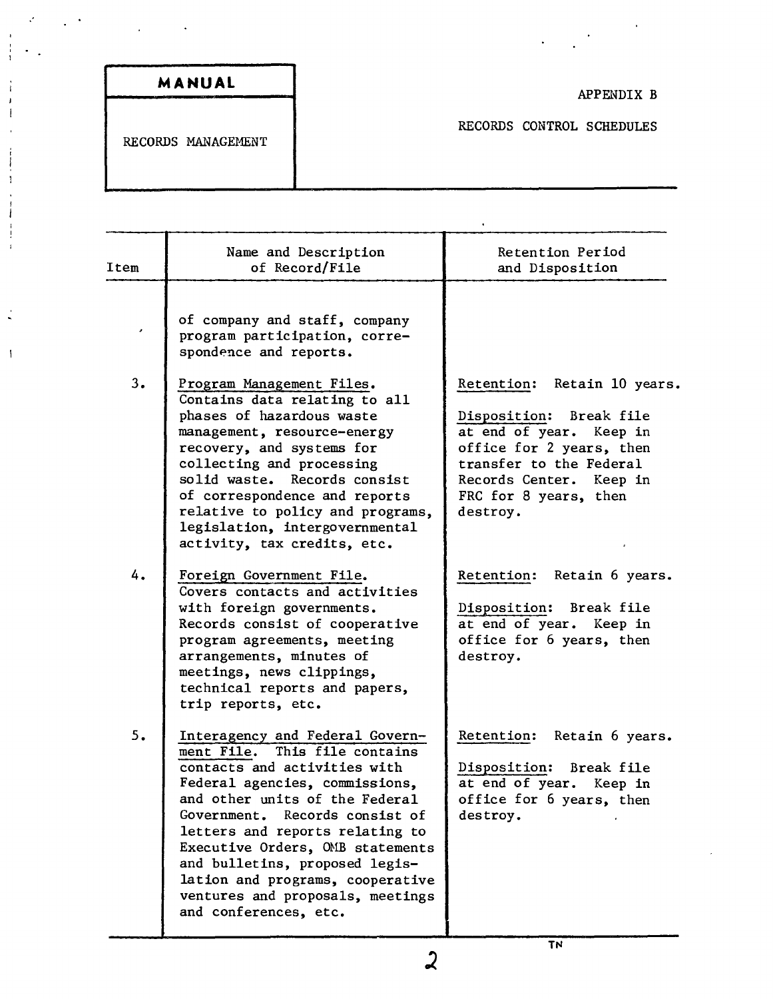|  |  |  |  |  | MANUAL |  |
|--|--|--|--|--|--------|--|
|--|--|--|--|--|--------|--|

.'

÷  $\mathbf{j}$  $\mathbf{I}$ 

 $\frac{1}{4}$ 

 $\begin{array}{c} \bullet \\ \bullet \\ \bullet \end{array}$ 

 $\begin{array}{c} 1 \\ 1 \\ 4 \end{array}$ 

 $\frac{1}{2}$ 

 $\mathcal{A}$ 

 $\sim$   $^{-1}$ 

## APPENDIX B

 $\label{eq:2.1} \frac{1}{2} \int_{\mathbb{R}^3} \frac{1}{\sqrt{2}} \, \mathrm{d} \mu \, \mathrm{d} \mu \, \mathrm{d} \mu \, \mathrm{d} \mu \, \mathrm{d} \mu \, \mathrm{d} \mu \, \mathrm{d} \mu \, \mathrm{d} \mu \, \mathrm{d} \mu \, \mathrm{d} \mu \, \mathrm{d} \mu \, \mathrm{d} \mu \, \mathrm{d} \mu \, \mathrm{d} \mu \, \mathrm{d} \mu \, \mathrm{d} \mu \, \mathrm{d} \mu \, \mathrm{d} \mu \, \mathrm{d} \mu \, \mathrm{d} \mu \,$ 

RECORDS CONTROL SCHEDULES

 $\ddot{\phantom{0}}$ 

RECORDS MANAGEMENT

| Item | Name and Description<br>of Record/File                                                                                                                                                                                                                                                                                                                                                                           | Retention Period<br>and Disposition                                                                                                                                                                         |
|------|------------------------------------------------------------------------------------------------------------------------------------------------------------------------------------------------------------------------------------------------------------------------------------------------------------------------------------------------------------------------------------------------------------------|-------------------------------------------------------------------------------------------------------------------------------------------------------------------------------------------------------------|
| ٠    | of company and staff, company<br>program participation, corre-<br>spondence and reports.                                                                                                                                                                                                                                                                                                                         |                                                                                                                                                                                                             |
| 3.   | Program Management Files.<br>Contains data relating to all<br>phases of hazardous waste<br>management, resource-energy<br>recovery, and systems for<br>collecting and processing<br>solid waste. Records consist<br>of correspondence and reports<br>relative to policy and programs,<br>legislation, intergovernmental<br>activity, tax credits, etc.                                                           | Retain 10 years.<br>Retention:<br>Disposition: Break file<br>at end of year. Keep in<br>office for 2 years, then<br>transfer to the Federal<br>Records Center. Keep in<br>FRC for 8 years, then<br>destroy. |
| 4.   | Foreign Government File.<br>Covers contacts and activities<br>with foreign governments.<br>Records consist of cooperative<br>program agreements, meeting<br>arrangements, minutes of<br>meetings, news clippings,<br>technical reports and papers,<br>trip reports, etc.                                                                                                                                         | Retention: Retain 6 years.<br>Disposition: Break file<br>at end of year. Keep in<br>office for 6 years, then<br>destroy.                                                                                    |
| 5.   | Interagency and Federal Govern-<br>ment File. This file contains<br>contacts and activities with<br>Federal agencies, commissions,<br>and other units of the Federal<br>Government. Records consist of<br>letters and reports relating to<br>Executive Orders, OMB statements<br>and bulletins, proposed legis-<br>lation and programs, cooperative<br>ventures and proposals, meetings<br>and conferences, etc. | Retention:<br>Retain 6 years.<br>Disposition: Break file<br>at end of year.<br>Keep in<br>office for 6 years, then<br>destroy.                                                                              |

TN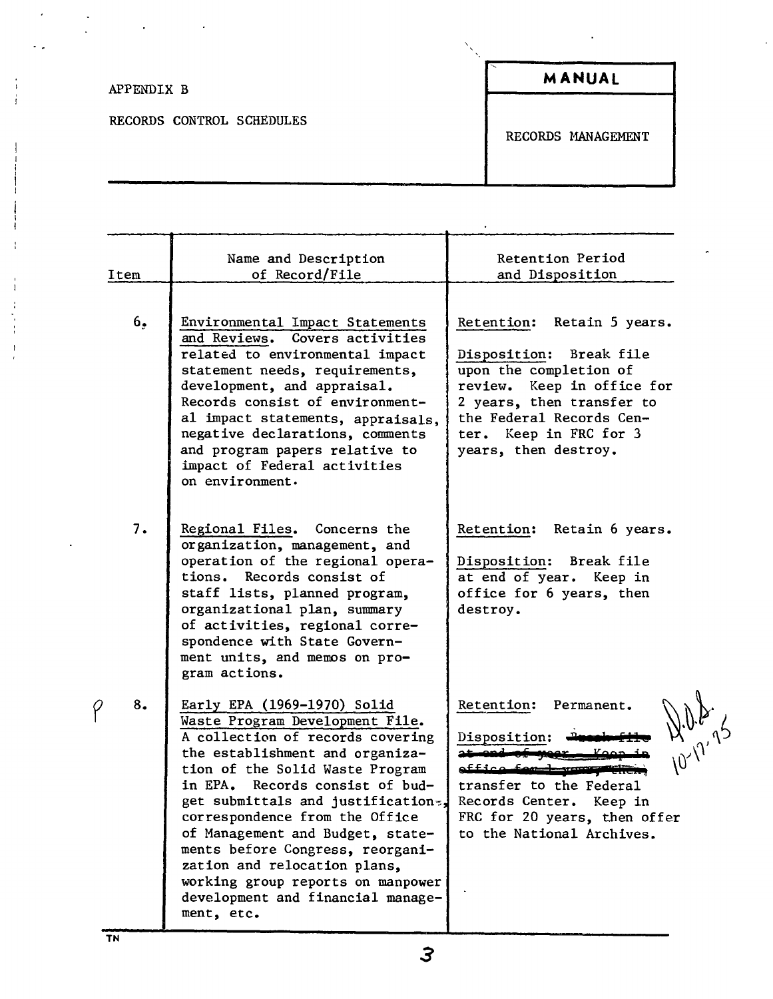| APPENDIX B                | MANUAL             |
|---------------------------|--------------------|
| RECORDS CONTROL SCHEDULES | RECORDS MANAGEMENT |

| Item | Name and Description<br>of Record/File                                                                                                                                                                                                                                                                                                                                                                                                                                              | Retention Period<br>and Disposition                                                                                                                                                                                         |
|------|-------------------------------------------------------------------------------------------------------------------------------------------------------------------------------------------------------------------------------------------------------------------------------------------------------------------------------------------------------------------------------------------------------------------------------------------------------------------------------------|-----------------------------------------------------------------------------------------------------------------------------------------------------------------------------------------------------------------------------|
| 6.   | Environmental Impact Statements<br>and Reviews. Covers activities<br>related to environmental impact<br>statement needs, requirements,<br>development, and appraisal.<br>Records consist of environment-<br>al impact statements, appraisals,<br>negative declarations, comments<br>and program papers relative to<br>impact of Federal activities<br>on environment.                                                                                                               | Retention:<br>Retain 5 years.<br>Disposition: Break file<br>upon the completion of<br>review. Keep in office for<br>2 years, then transfer to<br>the Federal Records Cen-<br>ter. Keep in FRC for 3<br>years, then destroy. |
| 7.   | Regional Files. Concerns the<br>organization, management, and<br>operation of the regional opera-<br>tions. Records consist of<br>staff lists, planned program,<br>organizational plan, summary<br>of activities, regional corre-<br>spondence with State Govern-<br>ment units, and memos on pro-<br>gram actions.                                                                                                                                                                 | Retention: Retain 6 years.<br>Disposition: Break file<br>at end of year. Keep in<br>office for 6 years, then<br>destroy.                                                                                                    |
| 8.   | Early EPA (1969-1970) Solid<br>Waste Program Development File.<br>A collection of records covering<br>the establishment and organiza-<br>tion of the Solid Waste Program<br>in EPA. Records consist of bud-<br>get submittals and justification-,<br>correspondence from the Office<br>of Management and Budget, state-<br>ments before Congress, reorgani-<br>zation and relocation plans,<br>working group reports on manpower<br>development and financial manage-<br>ment, etc. | Retention:<br>Permanent.<br>10-17-7-<br>Disposition:<br>effice for 1 was properly<br>transfer to the Federal<br>Records Center. Keep in<br>FRC for 20 years, then offer<br>to the National Archives.                        |

 $P$ 

3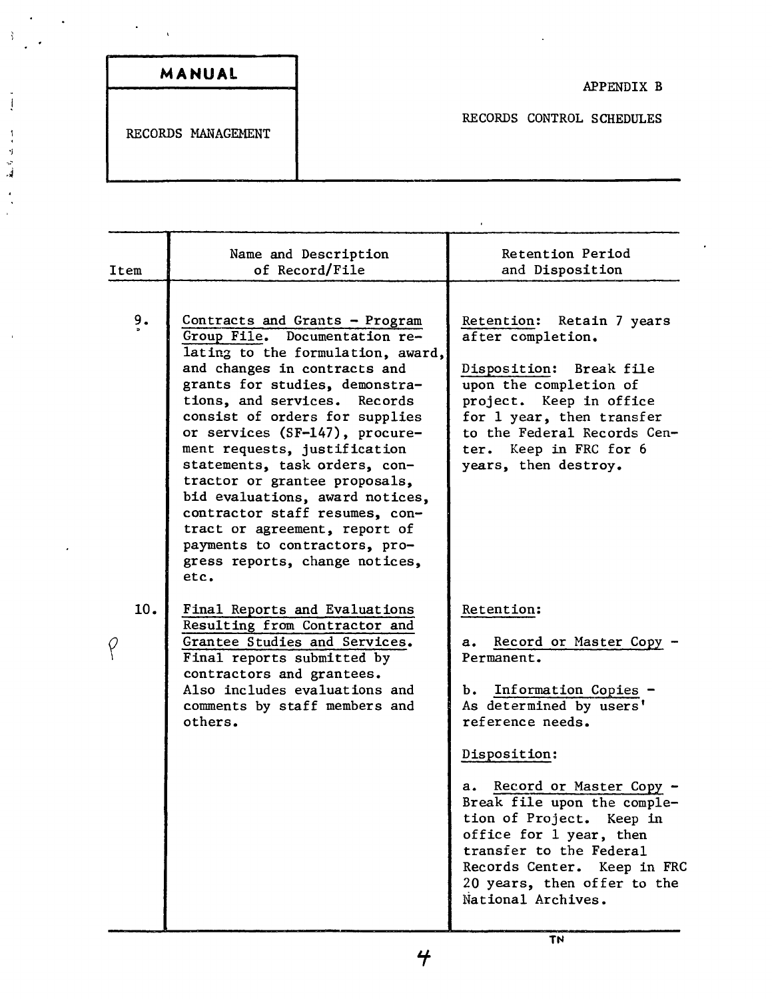| MANUAL             |
|--------------------|
|                    |
| RECORDS MANAGEMENT |
|                    |
|                    |

 $\frac{3}{2}$ 

 $\frac{1}{3}$ 

 $\begin{array}{llll} \bullet & \text{if} & \text{if} & \text{if} & \text{if} & \text{if} \\ \bullet & \text{if} & \text{if} & \text{if} & \text{if} & \text{if} \end{array}$ 

| Item          | Name and Description<br>of Record/File                                                                                                                                                                                                                                                                                                                                                                                                                                                                                                                        | Retention Period<br>and Disposition                                                                                                                                                                                                                                                                                                                                                     |
|---------------|---------------------------------------------------------------------------------------------------------------------------------------------------------------------------------------------------------------------------------------------------------------------------------------------------------------------------------------------------------------------------------------------------------------------------------------------------------------------------------------------------------------------------------------------------------------|-----------------------------------------------------------------------------------------------------------------------------------------------------------------------------------------------------------------------------------------------------------------------------------------------------------------------------------------------------------------------------------------|
| $\frac{9}{3}$ | Contracts and Grants - Program<br>Group File. Documentation re-<br>lating to the formulation, award,<br>and changes in contracts and<br>grants for studies, demonstra-<br>tions, and services. Records<br>consist of orders for supplies<br>or services (SF-147), procure-<br>ment requests, justification<br>statements, task orders, con-<br>tractor or grantee proposals,<br>bid evaluations, award notices,<br>contractor staff resumes, con-<br>tract or agreement, report of<br>payments to contractors, pro-<br>gress reports, change notices,<br>etc. | Retention: Retain 7 years<br>after completion.<br>Disposition: Break file<br>upon the completion of<br>project. Keep in office<br>for 1 year, then transfer<br>to the Federal Records Cen-<br>ter. Keep in FRC for 6<br>years, then destroy.                                                                                                                                            |
| 10.           | Final Reports and Evaluations<br>Resulting from Contractor and<br>Grantee Studies and Services.<br>Final reports submitted by<br>contractors and grantees.<br>Also includes evaluations and<br>comments by staff members and<br>others.                                                                                                                                                                                                                                                                                                                       | Retention:<br>Record or Master Copy<br>а.<br>Permanent.<br>b. Information Copies -<br>As determined by users'<br>reference needs.<br>Disposition:<br>Record or Master Copy -<br>a.<br>Break file upon the comple-<br>tion of Project. Keep in<br>office for 1 year, then<br>transfer to the Federal<br>Records Center. Keep in FRC<br>20 years, then offer to the<br>National Archives. |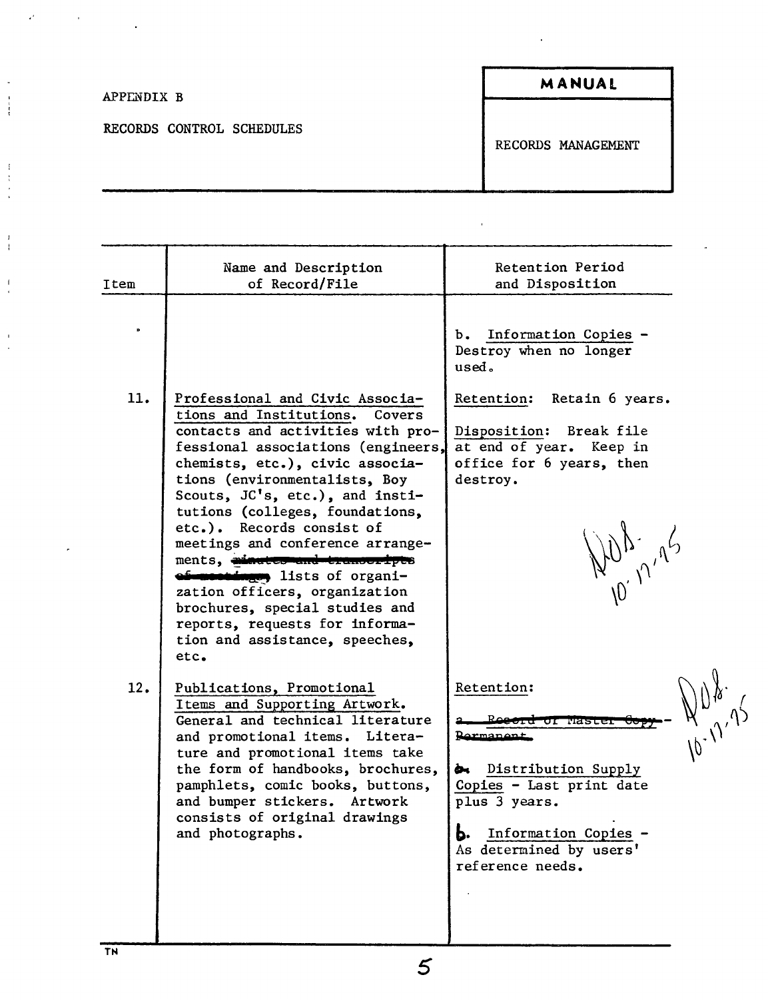| APPENDIX B                | MANUAL             |
|---------------------------|--------------------|
| RECORDS CONTROL SCHEDULES | RECORDS MANAGEMENT |

 $\hat{\mathcal{F}}$ 

| Item | Name and Description<br>of Record/File                                                                                                                                                                                                                                                                                                                                                                                                                                                                                                                                       | Retention Period<br>and Disposition                                                                                                                                                                                                             |
|------|------------------------------------------------------------------------------------------------------------------------------------------------------------------------------------------------------------------------------------------------------------------------------------------------------------------------------------------------------------------------------------------------------------------------------------------------------------------------------------------------------------------------------------------------------------------------------|-------------------------------------------------------------------------------------------------------------------------------------------------------------------------------------------------------------------------------------------------|
| Þ    |                                                                                                                                                                                                                                                                                                                                                                                                                                                                                                                                                                              | b. Information Copies -<br>Destroy when no longer<br>used.                                                                                                                                                                                      |
| 11.  | Professional and Civic Associa-<br>tions and Institutions.<br>Covers<br>contacts and activities with pro-<br>fessional associations (engineers,<br>chemists, etc.), civic associa-<br>tions (environmentalists, Boy<br>Scouts, JC's, etc.), and insti-<br>tutions (colleges, foundations,<br>etc.). Records consist of<br>meetings and conference arrange-<br>ments, ainsternand transcripts<br>ef-montings, lists of organi-<br>zation officers, organization<br>brochures, special studies and<br>reports, requests for informa-<br>tion and assistance, speeches,<br>etc. | Retention:<br>Retain 6 years.<br>Disposition: Break file<br>at end of year. Keep in<br>office for 6 years, then<br>destroy.<br>NUR, 12'45                                                                                                       |
| 12.  | Publications, Promotional<br>Items and Supporting Artwork.<br>General and technical literature<br>and promotional items. Litera-<br>ture and promotional items take<br>the form of handbooks, brochures,<br>pamphlets, comic books, buttons,<br>and bumper stickers. Artwork<br>consists of original drawings<br>and photographs.                                                                                                                                                                                                                                            | Retention:<br>$N^{\mu,\gamma,\gamma'}$<br>Reectu<br>wastet<br>गा<br><u>Parmanent</u><br>Distribution Supply<br>ò.<br>Copies - Last print date<br>plus 3 years.<br><b>b.</b> Information Copies -<br>As determined by users'<br>reference needs. |

 $\begin{array}{c} \bullet \\ \bullet \\ \bullet \\ \bullet \end{array}$ 

 $\begin{array}{c} 1 \\ 1 \\ 1 \\ 1 \\ 1 \end{array}$ 

 $\frac{1}{4}$ 

 $\frac{1}{2}$ 

 $\frac{1}{2}$ 

5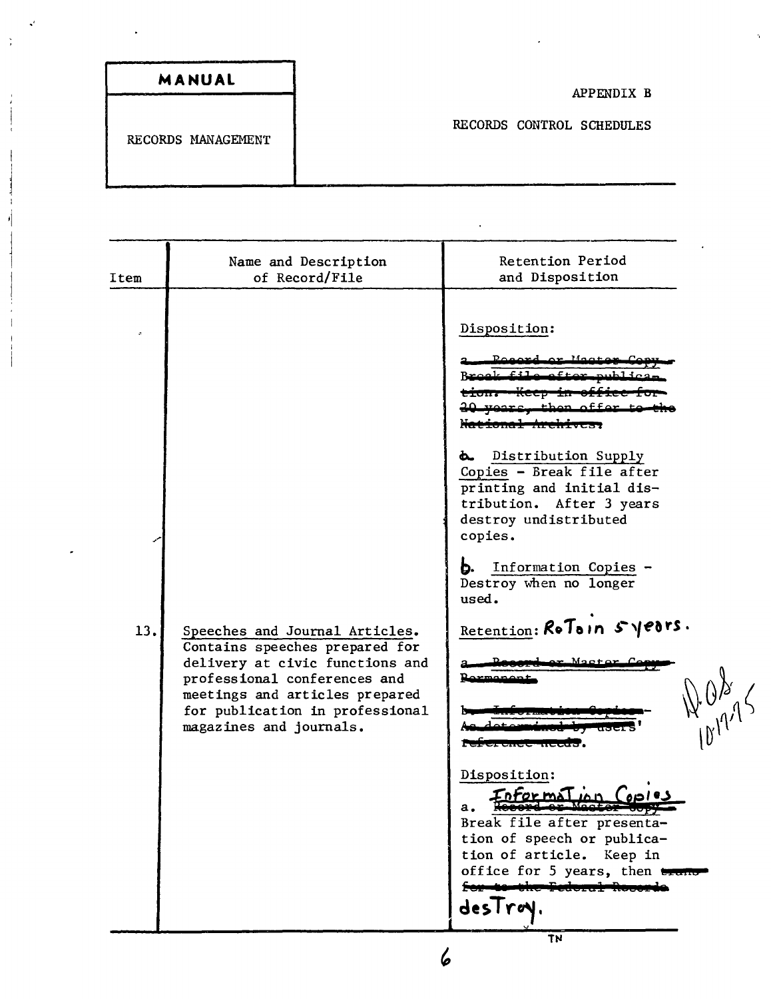| Item | Name and Description<br>of Record/File                                                                                                                                                                                              | Retention Period<br>and Disposition                                                                                                                                                                                                                                                                                                                                                                                                                              |  |  |
|------|-------------------------------------------------------------------------------------------------------------------------------------------------------------------------------------------------------------------------------------|------------------------------------------------------------------------------------------------------------------------------------------------------------------------------------------------------------------------------------------------------------------------------------------------------------------------------------------------------------------------------------------------------------------------------------------------------------------|--|--|
| 13.  | Speeches and Journal Articles.<br>Contains speeches prepared for<br>delivery at civic functions and<br>professional conferences and<br>meetings and articles prepared<br>for publication in professional<br>magazines and journals. | Disposition:<br><b>d.</b> Distribution Supply<br>Copies - Break file after<br>printing and initial dis-<br>tribution. After 3 years<br>destroy undistributed<br>copies.<br>Information Copies -<br>D.<br>Destroy when no longer<br>used.<br>Retention: RoToin 5180rs.<br>Disposition:<br>Break file after presenta-<br>tion of speech or publica-<br>tion of article.<br>Keep in<br>office for 5 years, then trans-<br><del>Eastern Lo</del> k<br>desTroy.<br>TN |  |  |
| 6    |                                                                                                                                                                                                                                     |                                                                                                                                                                                                                                                                                                                                                                                                                                                                  |  |  |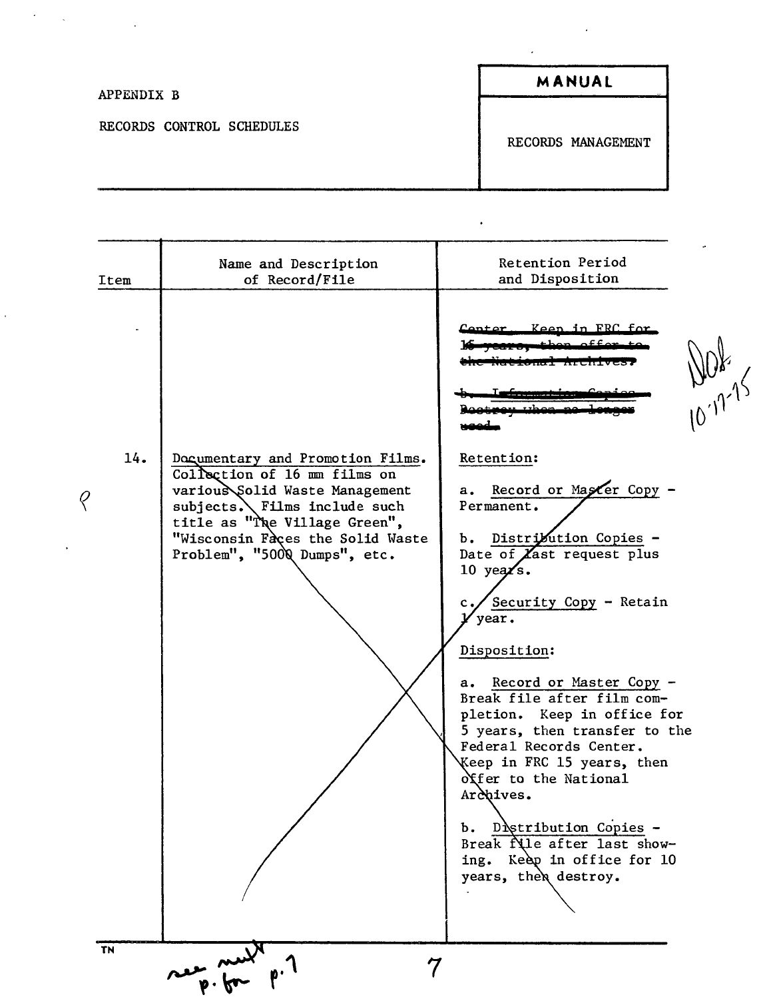| APPENDIX B                | MANUAL             |
|---------------------------|--------------------|
| RECORDS CONTROL SCHEDULES | RECORDS MANAGEMENT |

 $\cdot$ 

 $\big\langle$ 

 $\epsilon$ 

 $\ddot{\phantom{0}}$ 

 $\label{eq:2.1} \frac{d\mathbf{r}}{d\mathbf{r}} = \frac{1}{2} \left( \frac{\partial \mathbf{r}}{d\mathbf{r}} - \frac{\partial \mathbf{r}}{d\mathbf{r}} \right) \mathbf{r}$ 

 $\ddot{\phantom{1}}$ 

| Item      | Name and Description<br>of Record/File                                                                                                                                                                                                  | Retention Period<br>and Disposition                                                                                                                                                                                                                                                                                                                                                                                                                                                                                                                                                                                   |
|-----------|-----------------------------------------------------------------------------------------------------------------------------------------------------------------------------------------------------------------------------------------|-----------------------------------------------------------------------------------------------------------------------------------------------------------------------------------------------------------------------------------------------------------------------------------------------------------------------------------------------------------------------------------------------------------------------------------------------------------------------------------------------------------------------------------------------------------------------------------------------------------------------|
| 14.<br>Q  | Documentary and Promotion Films.<br>Collection of 16 mm films on<br>various Solid Waste Management<br>subjects. Films include such<br>title as "The Village Green",<br>"Wisconsin Faces the Solid Waste<br>Problem", "5000 Dumps", etc. | <u>Keen in FRC for </u><br><u>Cantar</u><br>$W^{\rho}$<br>Retention:<br>a. Record or Master Copy<br>Permanent.<br>b. Distribution Copies -<br>Date of $\chi$ ast request plus<br>10 yea $\sqrt{s}$ .<br>Security Copy - Retain<br>$\mathbf{c}$ .<br>year.<br>Disposition:<br>a. Record or Master Copy -<br>Break file after film com-<br>pletion. Keep in office for<br>5 years, then transfer to the<br>Federal Records Center.<br>Keep in FRC 15 years, then<br>offer to the National<br>Archives.<br>b. Distribution Copies -<br>Break file after last show-<br>ing. Keep in office for 10<br>years, then destroy. |
| <b>TN</b> | seep. for p. 7<br>7                                                                                                                                                                                                                     |                                                                                                                                                                                                                                                                                                                                                                                                                                                                                                                                                                                                                       |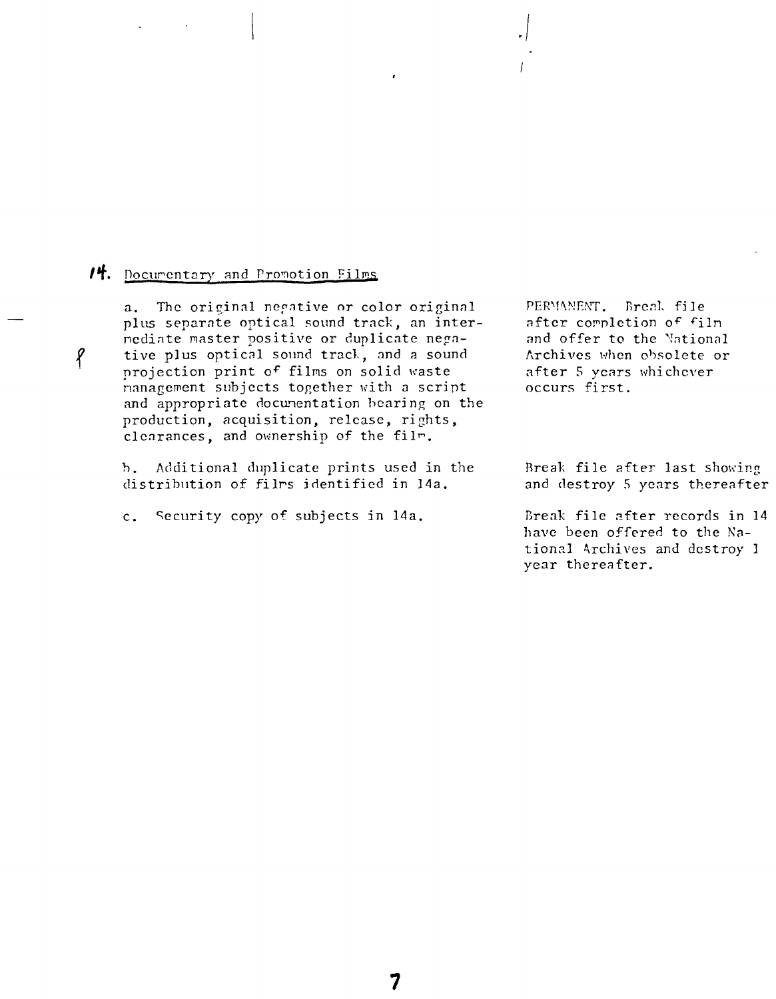## 14. Documentary and Promotion Films

p

 $a_{\bullet}$ The original negative or color original plus separate optical sound track, an internediate master positive or duplicate negative plus optical sound track, and a sound projection print of films on solid waste nanagement subjects together with a script and appropriate documentation bearing on the production, acquisition, release, rights, clearances, and ownership of the film.

Additional duplicate prints used in the b. distribution of films identified in 14a.

Security copy of subjects in 14a.  $c_{\bullet}$ 

PERMANENT. Break file after completion of film and offer to the National Archives when obsolete or after 5 years whichever occurs first.

Break file after last showing and destroy 5 years thereafter

Break file after records in 14 have been offered to the National Archives and destroy I year thereafter.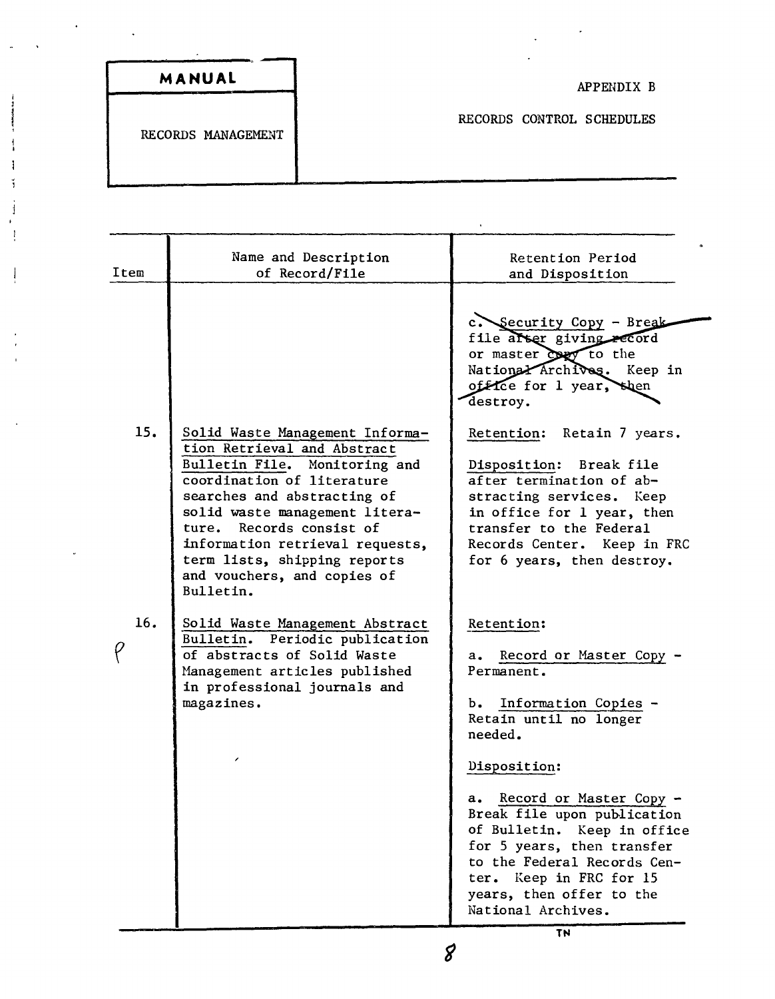| MANUAL |                    |                           |  |
|--------|--------------------|---------------------------|--|
|        | RECORDS MANAGEMENT | RECORDS CONTROL SCHEDULES |  |

Ï

| Item | Name and Description<br>of Record/File                                                                                                                                                                                                                                                                                                    | Retention Period<br>and Disposition                                                                                                                                                                                                                                                                                                                                                                |
|------|-------------------------------------------------------------------------------------------------------------------------------------------------------------------------------------------------------------------------------------------------------------------------------------------------------------------------------------------|----------------------------------------------------------------------------------------------------------------------------------------------------------------------------------------------------------------------------------------------------------------------------------------------------------------------------------------------------------------------------------------------------|
| 15.  | Solid Waste Management Informa-<br>tion Retrieval and Abstract<br>Bulletin File. Monitoring and<br>coordination of literature<br>searches and abstracting of<br>solid waste management litera-<br>ture. Records consist of<br>information retrieval requests,<br>term lists, shipping reports<br>and vouchers, and copies of<br>Bulletin. | c. Security Copy - Break<br>file after giving record<br>or master copy to the<br>National Archives. Keep in<br>office for 1 year, shen<br>destroy.<br>Retain 7 years.<br>Retention:<br>Disposition: Break file<br>after termination of ab-<br>stracting services. Keep<br>in office for 1 year, then<br>transfer to the Federal<br>Records Center. Keep in FRC<br>for 6 years, then destroy.       |
| 16.  | Solid Waste Management Abstract<br>Bulletin. Periodic publication<br>of abstracts of Solid Waste<br>Management articles published<br>in professional journals and<br>magazines.                                                                                                                                                           | Retention:<br>Record or Master Copy -<br>а.<br>Permanent.<br>Information Copies -<br>Ъ.<br>Retain until no longer<br>needed.<br>Disposition:<br>Record or Master Copy -<br>а.<br>Break file upon publication<br>of Bulletin. Keep in office<br>for 5 years, then transfer<br>to the Federal Records Cen-<br>ter. Keep in FRC for 15<br>years, then offer to the<br>National Archives.<br><b>TN</b> |